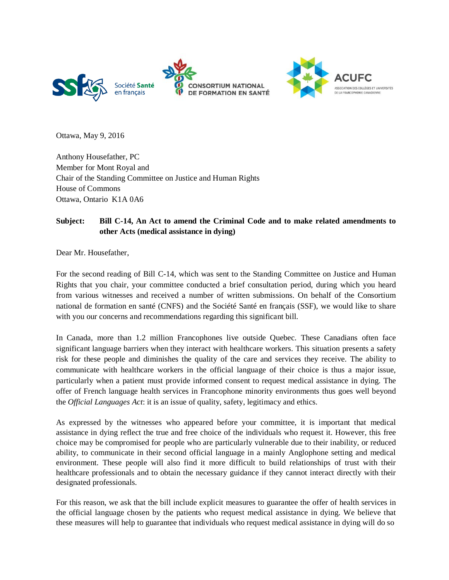



Ottawa, May 9, 2016

Anthony Housefather, PC Member for Mont Royal and Chair of the Standing Committee on Justice and Human Rights House of Commons Ottawa, Ontario K1A 0A6

## **Subject: Bill C-14, An Act to amend the Criminal Code and to make related amendments to other Acts (medical assistance in dying)**

Dear Mr. Housefather,

For the second reading of Bill C-14, which was sent to the Standing Committee on Justice and Human Rights that you chair, your committee conducted a brief consultation period, during which you heard from various witnesses and received a number of written submissions. On behalf of the Consortium national de formation en santé (CNFS) and the Société Santé en français (SSF), we would like to share with you our concerns and recommendations regarding this significant bill.

In Canada, more than 1.2 million Francophones live outside Quebec. These Canadians often face significant language barriers when they interact with healthcare workers. This situation presents a safety risk for these people and diminishes the quality of the care and services they receive. The ability to communicate with healthcare workers in the official language of their choice is thus a major issue, particularly when a patient must provide informed consent to request medical assistance in dying. The offer of French language health services in Francophone minority environments thus goes well beyond the *Official Languages Act*: it is an issue of quality, safety, legitimacy and ethics.

As expressed by the witnesses who appeared before your committee, it is important that medical assistance in dying reflect the true and free choice of the individuals who request it. However, this free choice may be compromised for people who are particularly vulnerable due to their inability, or reduced ability, to communicate in their second official language in a mainly Anglophone setting and medical environment. These people will also find it more difficult to build relationships of trust with their healthcare professionals and to obtain the necessary guidance if they cannot interact directly with their designated professionals.

For this reason, we ask that the bill include explicit measures to guarantee the offer of health services in the official language chosen by the patients who request medical assistance in dying. We believe that these measures will help to guarantee that individuals who request medical assistance in dying will do so